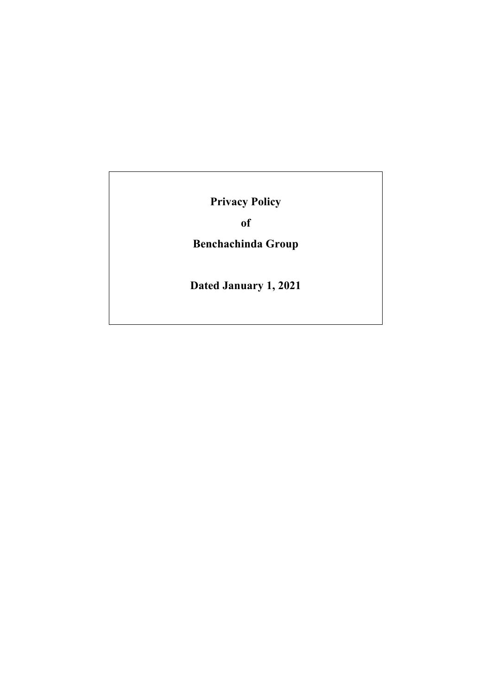**Privacy Policy**

**of**

**Benchachinda Group**

**Dated January 1, 2021**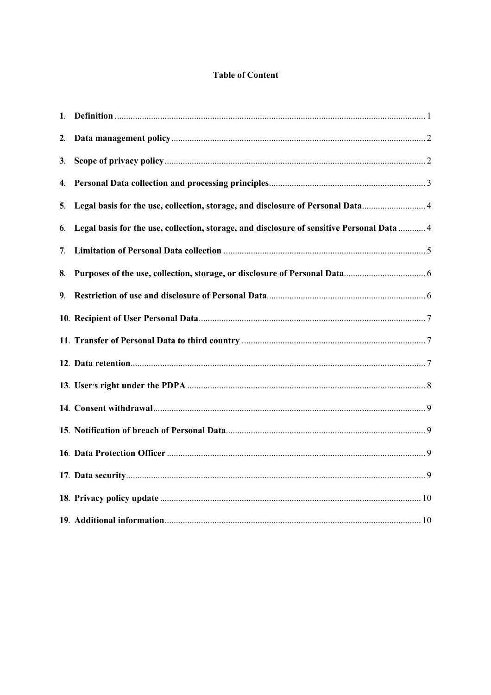# **Table of Content**

| 1. |                                                                                            |  |
|----|--------------------------------------------------------------------------------------------|--|
| 2. |                                                                                            |  |
| 3. |                                                                                            |  |
| 4. |                                                                                            |  |
| 5. | Legal basis for the use, collection, storage, and disclosure of Personal Data              |  |
| 6. | Legal basis for the use, collection, storage, and disclosure of sensitive Personal Data  4 |  |
| 7. |                                                                                            |  |
| 8. |                                                                                            |  |
| 9. |                                                                                            |  |
|    |                                                                                            |  |
|    |                                                                                            |  |
|    |                                                                                            |  |
|    |                                                                                            |  |
|    |                                                                                            |  |
|    |                                                                                            |  |
|    |                                                                                            |  |
|    |                                                                                            |  |
|    |                                                                                            |  |
|    |                                                                                            |  |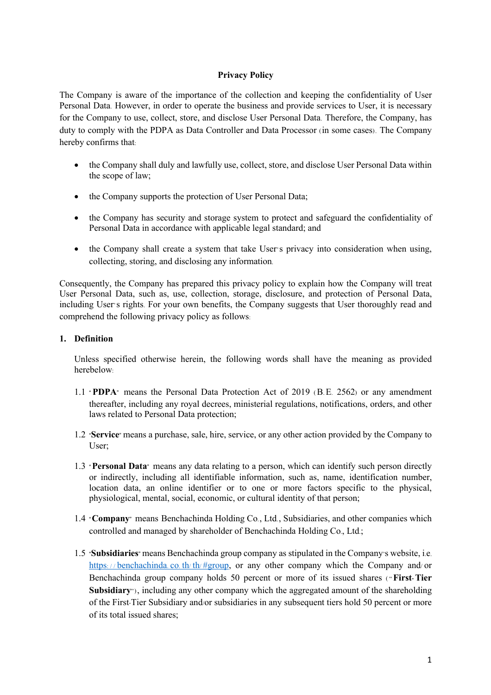# **Privacy Policy**

The Company is aware of the importance of the collection and keeping the confidentiality of User Personal Data. However, in order to operate the business and provide services to User, it is necessary for the Company to use, collect, store, and disclose User Personal Data. Therefore, the Company, has duty to comply with the PDPA as Data Controller and Data Processor (in some cases). The Company hereby confirms that:

- the Company shall duly and lawfully use, collect, store, and disclose User Personal Data within the scope of law;
- the Company supports the protection of User Personal Data;
- the Company has security and storage system to protect and safeguard the confidentiality of Personal Data in accordance with applicable legal standard; and
- the Company shall create a system that take User's privacy into consideration when using, collecting, storing, and disclosing any information.

Consequently, the Company has prepared this privacy policy to explain how the Company will treat User Personal Data, such as, use, collection, storage, disclosure, and protection of Personal Data, including User's rights. For your own benefits, the Company suggests that User thoroughly read and comprehend the following privacy policy as follows:

# **1. Definition**

Unless specified otherwise herein, the following words shall have the meaning as provided herebelow:

- 1.1 " **PDPA**" means the Personal Data Protection Act of 2019 (B.E. 2562) or any amendment thereafter, including any royal decrees, ministerial regulations, notifications, orders, and other laws related to Personal Data protection;
- 1.2 "**Service**" means a purchase, sale, hire, service, or any other action provided by the Company to User;
- 1.3 "**Personal Data**" means any data relating to a person, which can identify such person directly or indirectly, including all identifiable information, such as, name, identification number, location data, an online identifier or to one or more factors specific to the physical, physiological, mental, social, economic, or cultural identity of that person;
- 1.4 "**Company**" means Benchachinda Holding Co., Ltd., Subsidiaries, and other companies which controlled and managed by shareholder of Benchachinda Holding Co., Ltd.;
- 1.5 "**Subsidiaries**" means Benchachinda group company as stipulated in the Company's website, i.e. https://benchachinda.co. th/ th/ #group, or any other company which the Company and/ or Benchachinda group company holds 50 percent or more of its issued shares ("**First-Tier Subsidiary**"), including any other company which the aggregated amount of the shareholding of the First-Tier Subsidiary and/or subsidiaries in any subsequent tiers hold 50 percent or more of its total issued shares;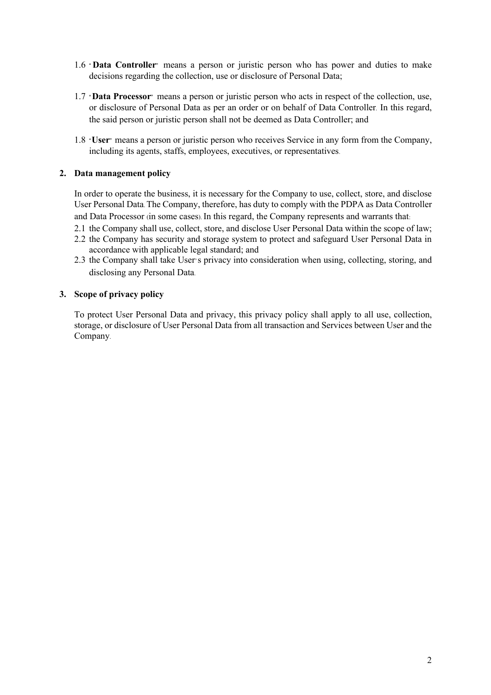- 1.6 " **Data Controller**" means a person or juristic person who has power and duties to make decisions regarding the collection, use or disclosure of Personal Data;
- 1.7 "**Data Processor**" means a person or juristic person who acts in respect of the collection, use, or disclosure of Personal Data as per an order or on behalf of Data Controller. In this regard, the said person or juristic person shall not be deemed as Data Controller; and
- 1.8 "**User**" means a person or juristic person who receives Service in any form from the Company, including its agents, staffs, employees, executives, or representatives.

### **2. Data management policy**

In order to operate the business, it is necessary for the Company to use, collect, store, and disclose User Personal Data. The Company, therefore, has duty to comply with the PDPA as Data Controller and Data Processor (in some cases). In this regard, the Company represents and warrants that:

- 2.1 the Company shall use, collect, store, and disclose User Personal Data within the scope of law;
- 2.2 the Company has security and storage system to protect and safeguard User Personal Data in accordance with applicable legal standard; and
- 2.3 the Company shall take User's privacy into consideration when using, collecting, storing, and disclosing any Personal Data.

### **3. Scope of privacy policy**

To protect User Personal Data and privacy, this privacy policy shall apply to all use, collection, storage, or disclosure of User Personal Data from all transaction and Services between User and the Company.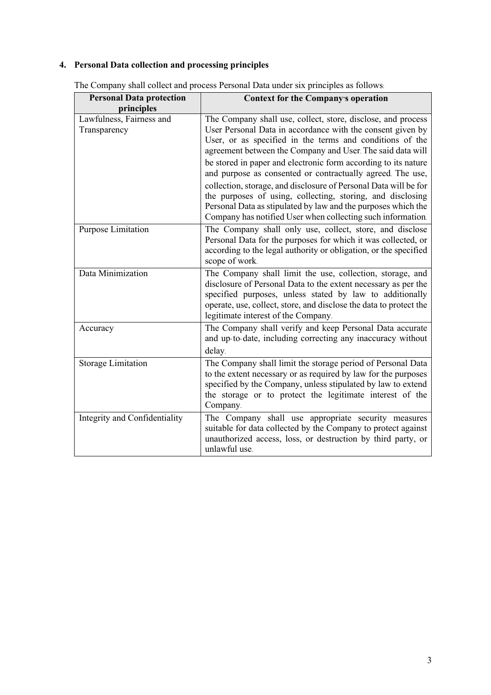# **4. Personal Data collection and processing principles**

| <b>Personal Data protection</b>          | <b>Context for the Company's operation</b>                                                                                                                                                                                                                                                                                                                                                                                                                                                                                                                                                                                                             |
|------------------------------------------|--------------------------------------------------------------------------------------------------------------------------------------------------------------------------------------------------------------------------------------------------------------------------------------------------------------------------------------------------------------------------------------------------------------------------------------------------------------------------------------------------------------------------------------------------------------------------------------------------------------------------------------------------------|
| principles                               |                                                                                                                                                                                                                                                                                                                                                                                                                                                                                                                                                                                                                                                        |
| Lawfulness, Fairness and<br>Transparency | The Company shall use, collect, store, disclose, and process<br>User Personal Data in accordance with the consent given by<br>User, or as specified in the terms and conditions of the<br>agreement between the Company and User. The said data will<br>be stored in paper and electronic form according to its nature<br>and purpose as consented or contractually agreed. The use,<br>collection, storage, and disclosure of Personal Data will be for<br>the purposes of using, collecting, storing, and disclosing<br>Personal Data as stipulated by law and the purposes which the<br>Company has notified User when collecting such information. |
| Purpose Limitation                       | The Company shall only use, collect, store, and disclose<br>Personal Data for the purposes for which it was collected, or<br>according to the legal authority or obligation, or the specified<br>scope of work.                                                                                                                                                                                                                                                                                                                                                                                                                                        |
| Data Minimization                        | The Company shall limit the use, collection, storage, and<br>disclosure of Personal Data to the extent necessary as per the<br>specified purposes, unless stated by law to additionally<br>operate, use, collect, store, and disclose the data to protect the<br>legitimate interest of the Company.                                                                                                                                                                                                                                                                                                                                                   |
| Accuracy                                 | The Company shall verify and keep Personal Data accurate<br>and up-to-date, including correcting any inaccuracy without<br>delay.                                                                                                                                                                                                                                                                                                                                                                                                                                                                                                                      |
| <b>Storage Limitation</b>                | The Company shall limit the storage period of Personal Data<br>to the extent necessary or as required by law for the purposes<br>specified by the Company, unless stipulated by law to extend<br>the storage or to protect the legitimate interest of the<br>Company.                                                                                                                                                                                                                                                                                                                                                                                  |
| Integrity and Confidentiality            | The Company shall use appropriate security measures<br>suitable for data collected by the Company to protect against<br>unauthorized access, loss, or destruction by third party, or<br>unlawful use.                                                                                                                                                                                                                                                                                                                                                                                                                                                  |

The Company shall collect and process Personal Data under six principles as follows: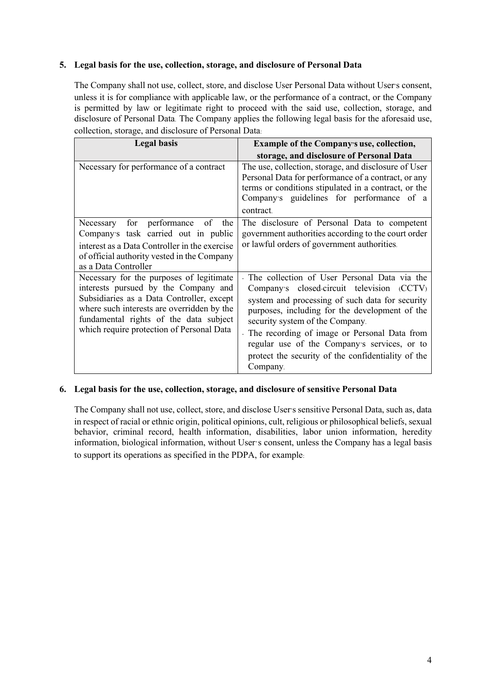# **5. Legal basis for the use, collection, storage, and disclosure of Personal Data**

The Company shall not use, collect, store, and disclose User Personal Data without User's consent, unless it is for compliance with applicable law, or the performance of a contract, or the Company is permitted by law or legitimate right to proceed with the said use, collection, storage, and disclosure of Personal Data. The Company applies the following legal basis for the aforesaid use, collection, storage, and disclosure of Personal Data:

| <b>Legal basis</b>                                                                                                                                                                                                                                                 | <b>Example of the Company's use, collection,</b>                                                                                                                                                                                                                                                                                                                                                       |
|--------------------------------------------------------------------------------------------------------------------------------------------------------------------------------------------------------------------------------------------------------------------|--------------------------------------------------------------------------------------------------------------------------------------------------------------------------------------------------------------------------------------------------------------------------------------------------------------------------------------------------------------------------------------------------------|
|                                                                                                                                                                                                                                                                    | storage, and disclosure of Personal Data                                                                                                                                                                                                                                                                                                                                                               |
| Necessary for performance of a contract                                                                                                                                                                                                                            | The use, collection, storage, and disclosure of User<br>Personal Data for performance of a contract, or any<br>terms or conditions stipulated in a contract, or the<br>Company's guidelines for performance of a<br>contract.                                                                                                                                                                          |
| for performance of<br>the<br>Necessary<br>Company's task carried out in public<br>interest as a Data Controller in the exercise<br>of official authority vested in the Company<br>as a Data Controller                                                             | The disclosure of Personal Data to competent<br>government authorities according to the court order<br>or lawful orders of government authorities.                                                                                                                                                                                                                                                     |
| Necessary for the purposes of legitimate<br>interests pursued by the Company and<br>Subsidiaries as a Data Controller, except<br>where such interests are overridden by the<br>fundamental rights of the data subject<br>which require protection of Personal Data | The collection of User Personal Data via the<br>Company's closed-circuit television (CCTV)<br>system and processing of such data for security<br>purposes, including for the development of the<br>security system of the Company.<br>- The recording of image or Personal Data from<br>regular use of the Company's services, or to<br>protect the security of the confidentiality of the<br>Company. |

# **6. Legal basis for the use, collection, storage, and disclosure of sensitive Personal Data**

The Company shall not use, collect, store, and disclose User's sensitive Personal Data, such as, data in respect of racial or ethnic origin, political opinions, cult, religious or philosophical beliefs, sexual behavior, criminal record, health information, disabilities, labor union information, heredity information, biological information, without User's consent, unless the Company has a legal basis to support its operations as specified in the PDPA, for example: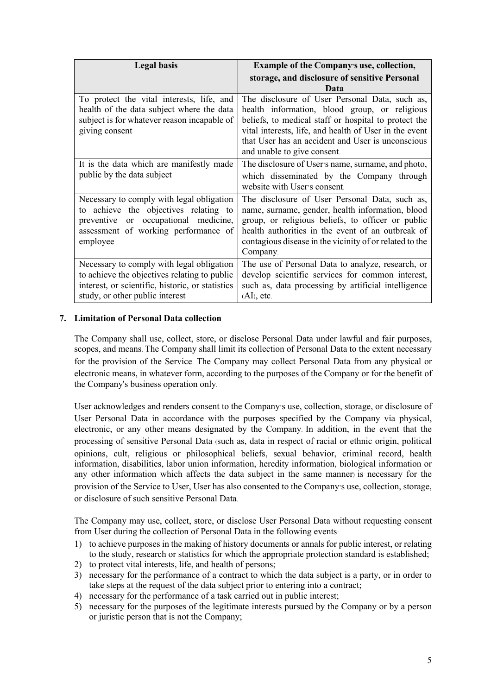| <b>Legal basis</b>                                                                                                                                                                   | Example of the Company's use, collection,                                                                                                                                                                                                                                                             |
|--------------------------------------------------------------------------------------------------------------------------------------------------------------------------------------|-------------------------------------------------------------------------------------------------------------------------------------------------------------------------------------------------------------------------------------------------------------------------------------------------------|
|                                                                                                                                                                                      | storage, and disclosure of sensitive Personal                                                                                                                                                                                                                                                         |
|                                                                                                                                                                                      | Data                                                                                                                                                                                                                                                                                                  |
| To protect the vital interests, life, and<br>health of the data subject where the data<br>subject is for whatever reason incapable of<br>giving consent                              | The disclosure of User Personal Data, such as,<br>health information, blood group, or religious<br>beliefs, to medical staff or hospital to protect the<br>vital interests, life, and health of User in the event<br>that User has an accident and User is unconscious<br>and unable to give consent. |
| It is the data which are manifestly made<br>public by the data subject                                                                                                               | The disclosure of User's name, surname, and photo,<br>which disseminated by the Company through<br>website with User's consent.                                                                                                                                                                       |
| Necessary to comply with legal obligation<br>to achieve the objectives relating to<br>occupational medicine,<br>preventive<br>or<br>assessment of working performance of<br>employee | The disclosure of User Personal Data, such as,<br>name, surname, gender, health information, blood<br>group, or religious beliefs, to officer or public<br>health authorities in the event of an outbreak of<br>contagious disease in the vicinity of or related to the<br>Company.                   |
| Necessary to comply with legal obligation<br>to achieve the objectives relating to public<br>interest, or scientific, historic, or statistics<br>study, or other public interest     | The use of Personal Data to analyze, research, or<br>develop scientific services for common interest,<br>such as, data processing by artificial intelligence<br>$(AI)$ , etc.                                                                                                                         |

# **7. Limitation of Personal Data collection**

The Company shall use, collect, store, or disclose Personal Data under lawful and fair purposes, scopes, and means. The Company shall limit its collection of Personal Data to the extent necessary for the provision of the Service. The Company may collect Personal Data from any physical or electronic means, in whatever form, according to the purposes of the Company or for the benefit of the Company's business operation only.

User acknowledges and renders consent to the Company's use, collection, storage, or disclosure of User Personal Data in accordance with the purposes specified by the Company via physical, electronic, or any other means designated by the Company. In addition, in the event that the processing of sensitive Personal Data (such as, data in respect of racial or ethnic origin, political opinions, cult, religious or philosophical beliefs, sexual behavior, criminal record, health information, disabilities, labor union information, heredity information, biological information or any other information which affects the data subject in the same manner) is necessary for the provision of the Service to User, User has also consented to the Company's use, collection, storage, or disclosure of such sensitive Personal Data.

The Company may use, collect, store, or disclose User Personal Data without requesting consent from User during the collection of Personal Data in the following events:

- 1) to achieve purposes in the making of history documents or annals for public interest, or relating to the study, research or statistics for which the appropriate protection standard is established;
- 2) to protect vital interests, life, and health of persons;
- 3) necessary for the performance of a contract to which the data subject is a party, or in order to take steps at the request of the data subject prior to entering into a contract;
- 4) necessary for the performance of a task carried out in public interest;
- 5) necessary for the purposes of the legitimate interests pursued by the Company or by a person or juristic person that is not the Company;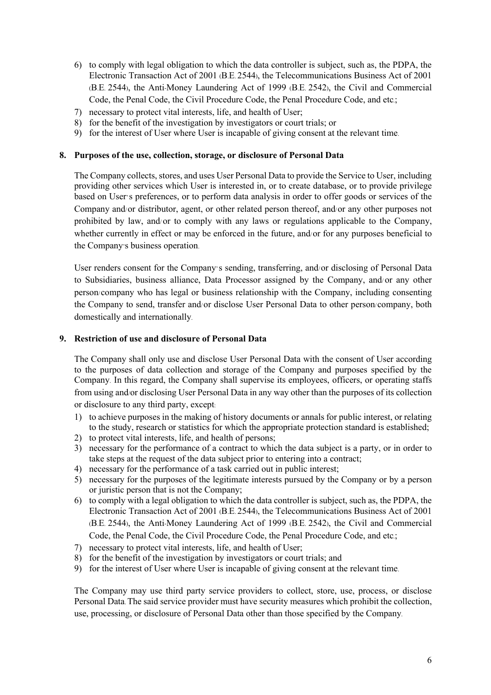- 6) to comply with legal obligation to which the data controller is subject, such as, the PDPA, the Electronic Transaction Act of 2001 (B.E. 2544), the Telecommunications Business Act of 2001 (B.E. 2544), the Anti-Money Laundering Act of 1999 (B.E. 2542), the Civil and Commercial Code, the Penal Code, the Civil Procedure Code, the Penal Procedure Code, and etc.;
- 7) necessary to protect vital interests, life, and health of User;
- 8) for the benefit of the investigation by investigators or court trials; or
- 9) for the interest of User where User is incapable of giving consent at the relevant time.

#### **8. Purposes of the use, collection, storage, or disclosure of Personal Data**

The Company collects, stores, and uses User Personal Data to provide the Service to User, including providing other services which User is interested in, or to create database, or to provide privilege based on User's preferences, or to perform data analysis in order to offer goods or services of the Company and/or distributor, agent, or other related person thereof, and/or any other purposes not prohibited by law, and/or to comply with any laws or regulations applicable to the Company, whether currently in effect or may be enforced in the future, and/or for any purposes beneficial to the Company's business operation.

User renders consent for the Company's sending, transferring, and/or disclosing of Personal Data to Subsidiaries, business alliance, Data Processor assigned by the Company, and/ or any other person/company who has legal or business relationship with the Company, including consenting the Company to send, transfer and/or disclose User Personal Data to other person/company, both domestically and internationally.

### **9. Restriction of use and disclosure of Personal Data**

The Company shall only use and disclose User Personal Data with the consent of User according to the purposes of data collection and storage of the Company and purposes specified by the Company. In this regard, the Company shall supervise its employees, officers, or operating staffs from using and/or disclosing User Personal Data in any way other than the purposes of its collection or disclosure to any third party, except:

- 1) to achieve purposes in the making of history documents or annals for public interest, or relating to the study, research or statistics for which the appropriate protection standard is established;
- 2) to protect vital interests, life, and health of persons;
- 3) necessary for the performance of a contract to which the data subject is a party, or in order to take steps at the request of the data subject prior to entering into a contract;
- 4) necessary for the performance of a task carried out in public interest;
- 5) necessary for the purposes of the legitimate interests pursued by the Company or by a person or juristic person that is not the Company;
- 6) to comply with a legal obligation to which the data controller is subject, such as, the PDPA, the Electronic Transaction Act of 2001 (B.E. 2544), the Telecommunications Business Act of 2001 (B.E. 2544), the Anti-Money Laundering Act of 1999 (B.E. 2542), the Civil and Commercial Code, the Penal Code, the Civil Procedure Code, the Penal Procedure Code, and etc.;
- 7) necessary to protect vital interests, life, and health of User;
- 8) for the benefit of the investigation by investigators or court trials; and
- 9) for the interest of User where User is incapable of giving consent at the relevant time.

The Company may use third party service providers to collect, store, use, process, or disclose Personal Data. The said service provider must have security measures which prohibit the collection, use, processing, or disclosure of Personal Data other than those specified by the Company.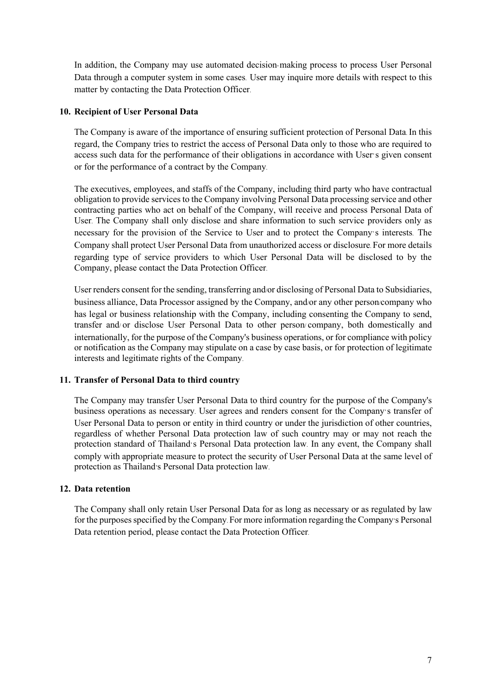In addition, the Company may use automated decision-making process to process User Personal Data through a computer system in some cases. User may inquire more details with respect to this matter by contacting the Data Protection Officer.

### **10. Recipient of User Personal Data**

The Company is aware of the importance of ensuring sufficient protection of Personal Data. In this regard, the Company tries to restrict the access of Personal Data only to those who are required to access such data for the performance of their obligations in accordance with User's given consent or for the performance of a contract by the Company.

The executives, employees, and staffs of the Company, including third party who have contractual obligation to provide services to the Company involving Personal Data processing service and other contracting parties who act on behalf of the Company, will receive and process Personal Data of User. The Company shall only disclose and share information to such service providers only as necessary for the provision of the Service to User and to protect the Company's interests. The Company shall protect User Personal Data from unauthorized access or disclosure. For more details regarding type of service providers to which User Personal Data will be disclosed to by the Company, please contact the Data Protection Officer.

User renders consent for the sending, transferring and/or disclosing of Personal Data to Subsidiaries, business alliance, Data Processor assigned by the Company, and/or any other person/company who has legal or business relationship with the Company, including consenting the Company to send, transfer and/ or disclose User Personal Data to other person/ company, both domestically and internationally, for the purpose of the Company's business operations, or for compliance with policy or notification as the Company may stipulate on a case by case basis, or for protection of legitimate interests and legitimate rights of the Company.

#### **11. Transfer of Personal Data to third country**

The Company may transfer User Personal Data to third country for the purpose of the Company's business operations as necessary. User agrees and renders consent for the Company's transfer of User Personal Data to person or entity in third country or under the jurisdiction of other countries, regardless of whether Personal Data protection law of such country may or may not reach the protection standard of Thailand's Personal Data protection law. In any event, the Company shall comply with appropriate measure to protect the security of User Personal Data at the same level of protection as Thailand's Personal Data protection law.

# **12. Data retention**

The Company shall only retain User Personal Data for as long as necessary or as regulated by law for the purposes specified by the Company. For more information regarding the Company's Personal Data retention period, please contact the Data Protection Officer.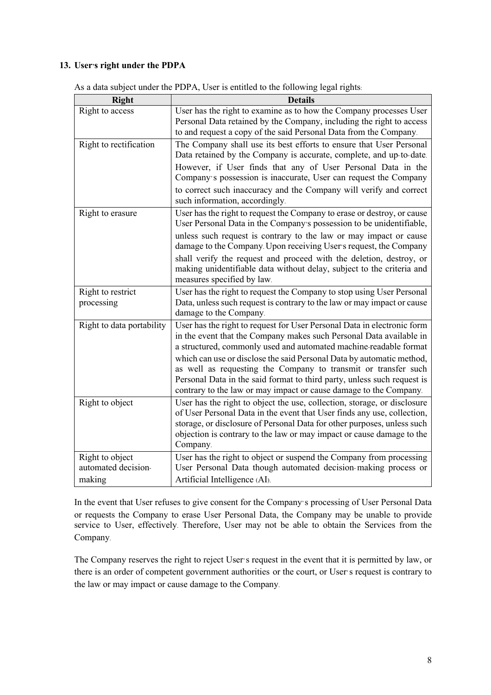# **13. User's right under the PDPA**

| <b>Right</b>              | <b>Details</b>                                                                                                                                                                                                                                                                                                      |
|---------------------------|---------------------------------------------------------------------------------------------------------------------------------------------------------------------------------------------------------------------------------------------------------------------------------------------------------------------|
| Right to access           | User has the right to examine as to how the Company processes User<br>Personal Data retained by the Company, including the right to access<br>to and request a copy of the said Personal Data from the Company.                                                                                                     |
| Right to rectification    | The Company shall use its best efforts to ensure that User Personal<br>Data retained by the Company is accurate, complete, and up-to-date.                                                                                                                                                                          |
|                           | However, if User finds that any of User Personal Data in the<br>Company's possession is inaccurate, User can request the Company                                                                                                                                                                                    |
|                           | to correct such inaccuracy and the Company will verify and correct<br>such information, accordingly.                                                                                                                                                                                                                |
| Right to erasure          | User has the right to request the Company to erase or destroy, or cause<br>User Personal Data in the Company's possession to be unidentifiable,                                                                                                                                                                     |
|                           | unless such request is contrary to the law or may impact or cause<br>damage to the Company. Upon receiving User's request, the Company                                                                                                                                                                              |
|                           | shall verify the request and proceed with the deletion, destroy, or<br>making unidentifiable data without delay, subject to the criteria and<br>measures specified by law.                                                                                                                                          |
| Right to restrict         | User has the right to request the Company to stop using User Personal                                                                                                                                                                                                                                               |
| processing                | Data, unless such request is contrary to the law or may impact or cause                                                                                                                                                                                                                                             |
|                           | damage to the Company.                                                                                                                                                                                                                                                                                              |
| Right to data portability | User has the right to request for User Personal Data in electronic form<br>in the event that the Company makes such Personal Data available in<br>a structured, commonly used and automated machine-readable format                                                                                                 |
|                           | which can use or disclose the said Personal Data by automatic method,<br>as well as requesting the Company to transmit or transfer such                                                                                                                                                                             |
|                           | Personal Data in the said format to third party, unless such request is<br>contrary to the law or may impact or cause damage to the Company.                                                                                                                                                                        |
| Right to object           | User has the right to object the use, collection, storage, or disclosure<br>of User Personal Data in the event that User finds any use, collection,<br>storage, or disclosure of Personal Data for other purposes, unless such<br>objection is contrary to the law or may impact or cause damage to the<br>Company. |
| Right to object           | User has the right to object or suspend the Company from processing                                                                                                                                                                                                                                                 |
| automated decision-       | User Personal Data though automated decision-making process or                                                                                                                                                                                                                                                      |
| making                    | Artificial Intelligence (AI).                                                                                                                                                                                                                                                                                       |

As a data subject under the PDPA, User is entitled to the following legal rights:

In the event that User refuses to give consent for the Company's processing of User Personal Data or requests the Company to erase User Personal Data, the Company may be unable to provide service to User, effectively. Therefore, User may not be able to obtain the Services from the Company.

The Company reserves the right to reject User's request in the event that it is permitted by law, or there is an order of competent government authorities or the court, or User's request is contrary to the law or may impact or cause damage to the Company.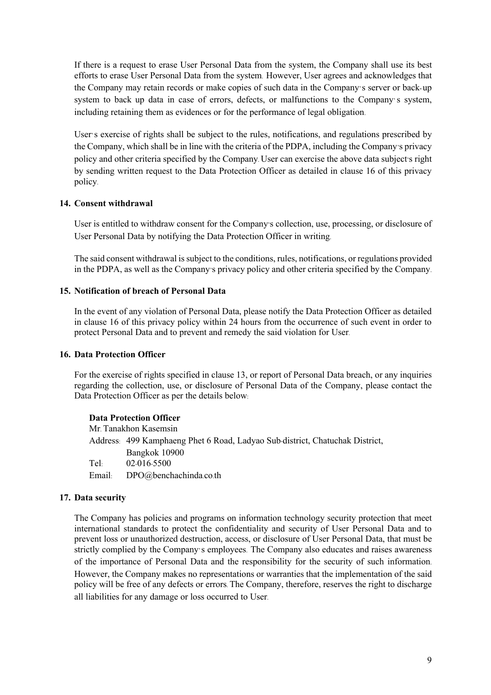If there is a request to erase User Personal Data from the system, the Company shall use its best efforts to erase User Personal Data from the system. However, User agrees and acknowledges that the Company may retain records or make copies of such data in the Company's server or back-up system to back up data in case of errors, defects, or malfunctions to the Company's system, including retaining them as evidences or for the performance of legal obligation.

User's exercise of rights shall be subject to the rules, notifications, and regulations prescribed by the Company, which shall be in line with the criteria of the PDPA, including the Company's privacy policy and other criteria specified by the Company. User can exercise the above data subject's right by sending written request to the Data Protection Officer as detailed in clause 16 of this privacy policy.

### **14. Consent withdrawal**

User is entitled to withdraw consent for the Company's collection, use, processing, or disclosure of User Personal Data by notifying the Data Protection Officer in writing.

The said consent withdrawal is subject to the conditions, rules, notifications, or regulations provided in the PDPA, as well as the Company's privacy policy and other criteria specified by the Company.

### **15. Notification of breach of Personal Data**

In the event of any violation of Personal Data, please notify the Data Protection Officer as detailed in clause 16 of this privacy policy within 24 hours from the occurrence of such event in order to protect Personal Data and to prevent and remedy the said violation for User.

#### **16. Data Protection Officer**

For the exercise of rights specified in clause 13, or report of Personal Data breach, or any inquiries regarding the collection, use, or disclosure of Personal Data of the Company, please contact the Data Protection Officer as per the details below:

#### **Data Protection Officer**

Mr. Tanakhon Kasemsin Address: 499 Kamphaeng Phet 6 Road, Ladyao Sub-district, Chatuchak District, Bangkok 10900 Tel: 02-016-5500 Email: DPO@benchachinda.co.th

#### **17. Data security**

The Company has policies and programs on information technology security protection that meet international standards to protect the confidentiality and security of User Personal Data and to prevent loss or unauthorized destruction, access, or disclosure of User Personal Data, that must be strictly complied by the Company's employees. The Company also educates and raises awareness of the importance of Personal Data and the responsibility for the security of such information. However, the Company makes no representations or warranties that the implementation of the said policy will be free of any defects or errors. The Company, therefore, reserves the right to discharge all liabilities for any damage or loss occurred to User.